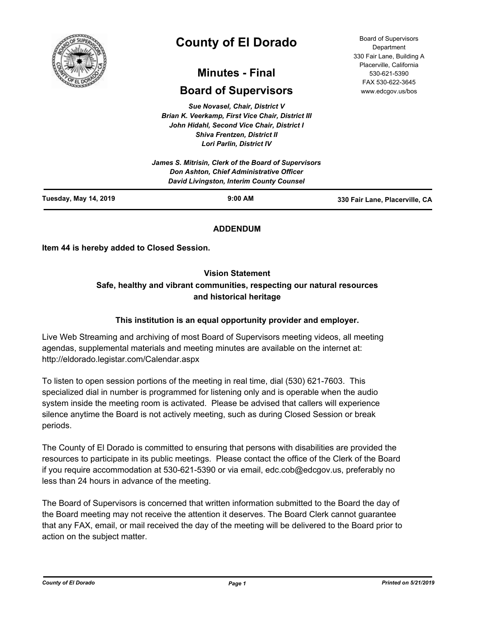

# **County of El Dorado**

## **Minutes - Final**

## **Board of Supervisors**

*Sue Novasel, Chair, District V Brian K. Veerkamp, First Vice Chair, District III John Hidahl, Second Vice Chair, District I Shiva Frentzen, District II Lori Parlin, District IV*

| <b>Tuesday, May 14, 2019</b> | $9:00$ AM                                                                                                                                    | 330 Fair Lane, Placerville, CA |
|------------------------------|----------------------------------------------------------------------------------------------------------------------------------------------|--------------------------------|
|                              | James S. Mitrisin, Clerk of the Board of Supervisors<br>Don Ashton, Chief Administrative Officer<br>David Livingston, Interim County Counsel |                                |

## **ADDENDUM**

**Item 44 is hereby added to Closed Session.**

## **Vision Statement**

## **Safe, healthy and vibrant communities, respecting our natural resources and historical heritage**

## **This institution is an equal opportunity provider and employer.**

Live Web Streaming and archiving of most Board of Supervisors meeting videos, all meeting agendas, supplemental materials and meeting minutes are available on the internet at: http://eldorado.legistar.com/Calendar.aspx

To listen to open session portions of the meeting in real time, dial (530) 621-7603. This specialized dial in number is programmed for listening only and is operable when the audio system inside the meeting room is activated. Please be advised that callers will experience silence anytime the Board is not actively meeting, such as during Closed Session or break periods.

The County of El Dorado is committed to ensuring that persons with disabilities are provided the resources to participate in its public meetings. Please contact the office of the Clerk of the Board if you require accommodation at 530-621-5390 or via email, edc.cob@edcgov.us, preferably no less than 24 hours in advance of the meeting.

The Board of Supervisors is concerned that written information submitted to the Board the day of the Board meeting may not receive the attention it deserves. The Board Clerk cannot guarantee that any FAX, email, or mail received the day of the meeting will be delivered to the Board prior to action on the subject matter.

Board of Supervisors Department 330 Fair Lane, Building A Placerville, California 530-621-5390 FAX 530-622-3645 www.edcgov.us/bos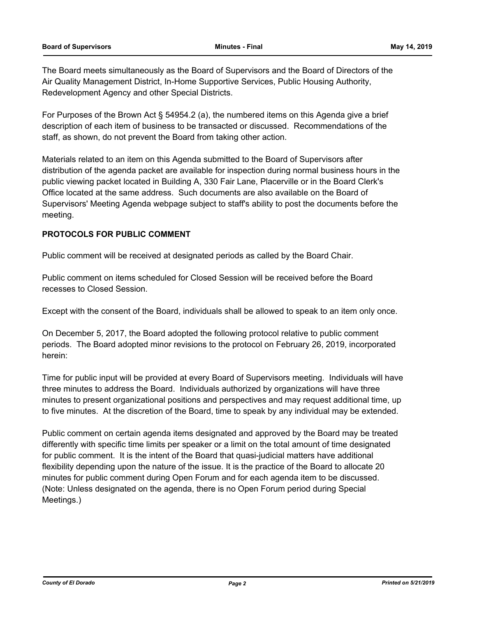The Board meets simultaneously as the Board of Supervisors and the Board of Directors of the Air Quality Management District, In-Home Supportive Services, Public Housing Authority, Redevelopment Agency and other Special Districts.

For Purposes of the Brown Act § 54954.2 (a), the numbered items on this Agenda give a brief description of each item of business to be transacted or discussed. Recommendations of the staff, as shown, do not prevent the Board from taking other action.

Materials related to an item on this Agenda submitted to the Board of Supervisors after distribution of the agenda packet are available for inspection during normal business hours in the public viewing packet located in Building A, 330 Fair Lane, Placerville or in the Board Clerk's Office located at the same address. Such documents are also available on the Board of Supervisors' Meeting Agenda webpage subject to staff's ability to post the documents before the meeting.

## **PROTOCOLS FOR PUBLIC COMMENT**

Public comment will be received at designated periods as called by the Board Chair.

Public comment on items scheduled for Closed Session will be received before the Board recesses to Closed Session.

Except with the consent of the Board, individuals shall be allowed to speak to an item only once.

On December 5, 2017, the Board adopted the following protocol relative to public comment periods. The Board adopted minor revisions to the protocol on February 26, 2019, incorporated herein:

Time for public input will be provided at every Board of Supervisors meeting. Individuals will have three minutes to address the Board. Individuals authorized by organizations will have three minutes to present organizational positions and perspectives and may request additional time, up to five minutes. At the discretion of the Board, time to speak by any individual may be extended.

Public comment on certain agenda items designated and approved by the Board may be treated differently with specific time limits per speaker or a limit on the total amount of time designated for public comment. It is the intent of the Board that quasi-judicial matters have additional flexibility depending upon the nature of the issue. It is the practice of the Board to allocate 20 minutes for public comment during Open Forum and for each agenda item to be discussed. (Note: Unless designated on the agenda, there is no Open Forum period during Special Meetings.)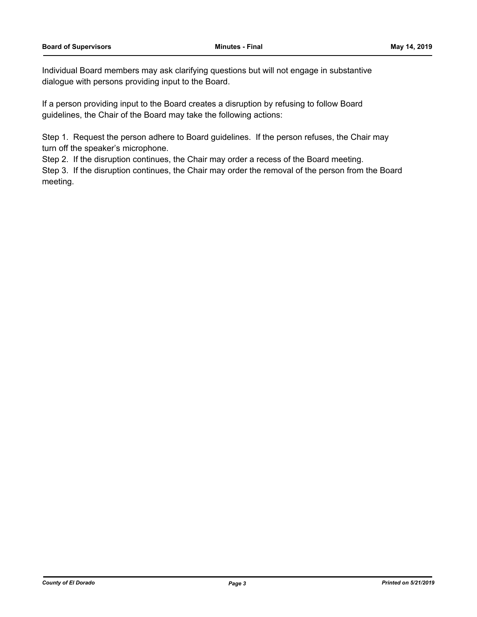Individual Board members may ask clarifying questions but will not engage in substantive dialogue with persons providing input to the Board.

If a person providing input to the Board creates a disruption by refusing to follow Board guidelines, the Chair of the Board may take the following actions:

Step 1. Request the person adhere to Board guidelines. If the person refuses, the Chair may turn off the speaker's microphone.

Step 2. If the disruption continues, the Chair may order a recess of the Board meeting.

Step 3. If the disruption continues, the Chair may order the removal of the person from the Board meeting.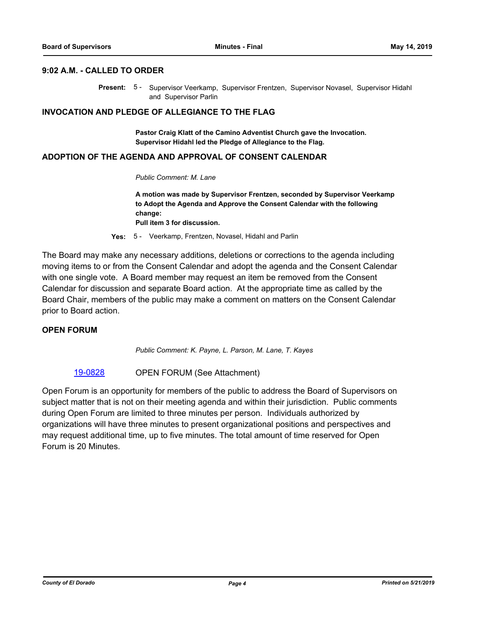#### **9:02 A.M. - CALLED TO ORDER**

Present: 5 - Supervisor Veerkamp, Supervisor Frentzen, Supervisor Novasel, Supervisor Hidahl and Supervisor Parlin

#### **INVOCATION AND PLEDGE OF ALLEGIANCE TO THE FLAG**

**Pastor Craig Klatt of the Camino Adventist Church gave the Invocation. Supervisor Hidahl led the Pledge of Allegiance to the Flag.**

#### **ADOPTION OF THE AGENDA AND APPROVAL OF CONSENT CALENDAR**

#### *Public Comment: M. Lane*

**A motion was made by Supervisor Frentzen, seconded by Supervisor Veerkamp to Adopt the Agenda and Approve the Consent Calendar with the following change: Pull item 3 for discussion.**

**Yes:** 5 - Veerkamp, Frentzen, Novasel, Hidahl and Parlin

The Board may make any necessary additions, deletions or corrections to the agenda including moving items to or from the Consent Calendar and adopt the agenda and the Consent Calendar with one single vote. A Board member may request an item be removed from the Consent Calendar for discussion and separate Board action. At the appropriate time as called by the Board Chair, members of the public may make a comment on matters on the Consent Calendar prior to Board action.

#### **OPEN FORUM**

*Public Comment: K. Payne, L. Parson, M. Lane, T. Kayes*

[19-0828](http://eldorado.legistar.com/gateway.aspx?m=l&id=/matter.aspx?key=26151) OPEN FORUM (See Attachment)

Open Forum is an opportunity for members of the public to address the Board of Supervisors on subject matter that is not on their meeting agenda and within their jurisdiction. Public comments during Open Forum are limited to three minutes per person. Individuals authorized by organizations will have three minutes to present organizational positions and perspectives and may request additional time, up to five minutes. The total amount of time reserved for Open Forum is 20 Minutes.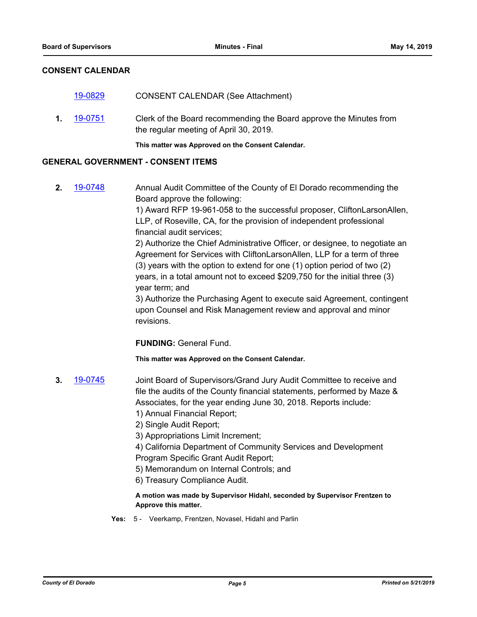## **CONSENT CALENDAR**

|    |         | This matter was Approved on the Consent Calendar.                                                            |
|----|---------|--------------------------------------------------------------------------------------------------------------|
| 1. | 19-0751 | Clerk of the Board recommending the Board approve the Minutes from<br>the regular meeting of April 30, 2019. |
|    | 19-0829 | <b>CONSENT CALENDAR (See Attachment)</b>                                                                     |

#### **GENERAL GOVERNMENT - CONSENT ITEMS**

**2.** [19-0748](http://eldorado.legistar.com/gateway.aspx?m=l&id=/matter.aspx?key=26070) Annual Audit Committee of the County of El Dorado recommending the Board approve the following: 1) Award RFP 19-961-058 to the successful proposer, CliftonLarsonAllen,

LLP, of Roseville, CA, for the provision of independent professional financial audit services;

2) Authorize the Chief Administrative Officer, or designee, to negotiate an Agreement for Services with CliftonLarsonAllen, LLP for a term of three (3) years with the option to extend for one (1) option period of two (2) years, in a total amount not to exceed \$209,750 for the initial three (3) year term; and

3) Authorize the Purchasing Agent to execute said Agreement, contingent upon Counsel and Risk Management review and approval and minor revisions.

**FUNDING:** General Fund.

**This matter was Approved on the Consent Calendar.**

- **3.** [19-0745](http://eldorado.legistar.com/gateway.aspx?m=l&id=/matter.aspx?key=26067) Joint Board of Supervisors/Grand Jury Audit Committee to receive and file the audits of the County financial statements, performed by Maze & Associates, for the year ending June 30, 2018. Reports include: 1) Annual Financial Report;
	- 2) Single Audit Report;
	- 3) Appropriations Limit Increment;
	- 4) California Department of Community Services and Development Program Specific Grant Audit Report;
	- 5) Memorandum on Internal Controls; and
	- 6) Treasury Compliance Audit.

#### **A motion was made by Supervisor Hidahl, seconded by Supervisor Frentzen to Approve this matter.**

**Yes:** 5 - Veerkamp, Frentzen, Novasel, Hidahl and Parlin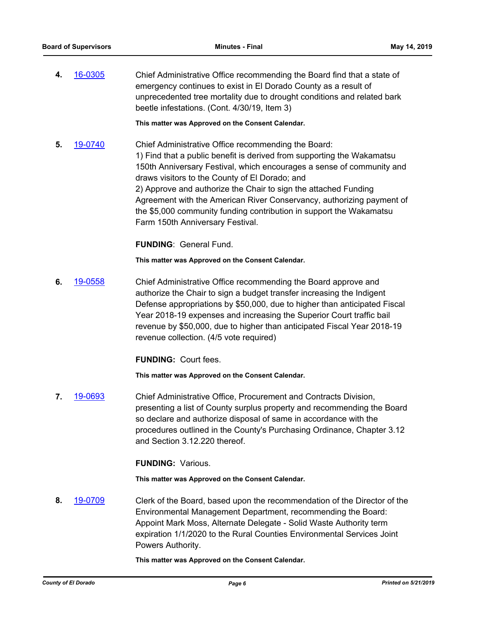**4.** [16-0305](http://eldorado.legistar.com/gateway.aspx?m=l&id=/matter.aspx?key=20961) Chief Administrative Office recommending the Board find that a state of emergency continues to exist in El Dorado County as a result of unprecedented tree mortality due to drought conditions and related bark beetle infestations. (Cont. 4/30/19, Item 3)

**This matter was Approved on the Consent Calendar.**

**5.** [19-0740](http://eldorado.legistar.com/gateway.aspx?m=l&id=/matter.aspx?key=26062) Chief Administrative Office recommending the Board: 1) Find that a public benefit is derived from supporting the Wakamatsu 150th Anniversary Festival, which encourages a sense of community and draws visitors to the County of El Dorado; and 2) Approve and authorize the Chair to sign the attached Funding Agreement with the American River Conservancy, authorizing payment of the \$5,000 community funding contribution in support the Wakamatsu Farm 150th Anniversary Festival.

**FUNDING**: General Fund.

**This matter was Approved on the Consent Calendar.**

**6.** [19-0558](http://eldorado.legistar.com/gateway.aspx?m=l&id=/matter.aspx?key=25879) Chief Administrative Office recommending the Board approve and authorize the Chair to sign a budget transfer increasing the Indigent Defense appropriations by \$50,000, due to higher than anticipated Fiscal Year 2018-19 expenses and increasing the Superior Court traffic bail revenue by \$50,000, due to higher than anticipated Fiscal Year 2018-19 revenue collection. (4/5 vote required)

**FUNDING:** Court fees.

**This matter was Approved on the Consent Calendar.**

**7.** [19-0693](http://eldorado.legistar.com/gateway.aspx?m=l&id=/matter.aspx?key=26015) Chief Administrative Office, Procurement and Contracts Division, presenting a list of County surplus property and recommending the Board so declare and authorize disposal of same in accordance with the procedures outlined in the County's Purchasing Ordinance, Chapter 3.12 and Section 3.12.220 thereof.

**FUNDING:** Various.

**This matter was Approved on the Consent Calendar.**

**8.** [19-0709](http://eldorado.legistar.com/gateway.aspx?m=l&id=/matter.aspx?key=26031) Clerk of the Board, based upon the recommendation of the Director of the Environmental Management Department, recommending the Board: Appoint Mark Moss, Alternate Delegate - Solid Waste Authority term expiration 1/1/2020 to the Rural Counties Environmental Services Joint Powers Authority.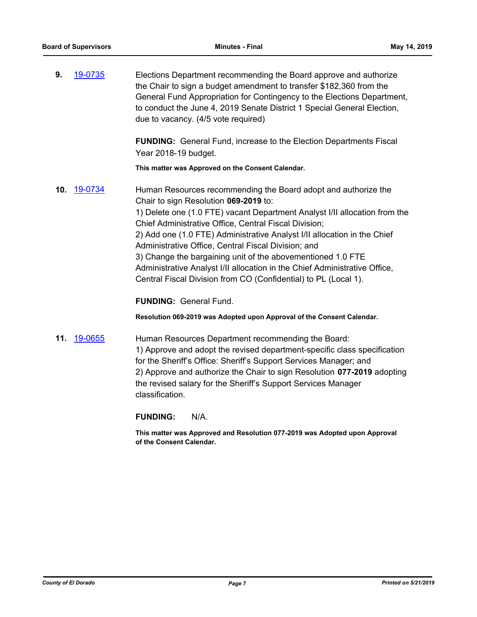| 9. | 19-0735 | Elections Department recommending the Board approve and authorize       |
|----|---------|-------------------------------------------------------------------------|
|    |         | the Chair to sign a budget amendment to transfer \$182,360 from the     |
|    |         | General Fund Appropriation for Contingency to the Elections Department, |
|    |         | to conduct the June 4, 2019 Senate District 1 Special General Election, |
|    |         | due to vacancy. (4/5 vote required)                                     |

**FUNDING:** General Fund, increase to the Election Departments Fiscal Year 2018-19 budget.

**This matter was Approved on the Consent Calendar.**

**10.** [19-0734](http://eldorado.legistar.com/gateway.aspx?m=l&id=/matter.aspx?key=26056) Human Resources recommending the Board adopt and authorize the Chair to sign Resolution **069-2019** to: 1) Delete one (1.0 FTE) vacant Department Analyst I/II allocation from the Chief Administrative Office, Central Fiscal Division; 2) Add one (1.0 FTE) Administrative Analyst I/II allocation in the Chief Administrative Office, Central Fiscal Division; and 3) Change the bargaining unit of the abovementioned 1.0 FTE Administrative Analyst I/II allocation in the Chief Administrative Office, Central Fiscal Division from CO (Confidential) to PL (Local 1).

**FUNDING:** General Fund.

**Resolution 069-2019 was Adopted upon Approval of the Consent Calendar.**

**11.** [19-0655](http://eldorado.legistar.com/gateway.aspx?m=l&id=/matter.aspx?key=25977) Human Resources Department recommending the Board: 1) Approve and adopt the revised department-specific class specification for the Sheriff's Office: Sheriff's Support Services Manager; and 2) Approve and authorize the Chair to sign Resolution **077-2019** adopting the revised salary for the Sheriff's Support Services Manager classification.

**FUNDING:** N/A.

**This matter was Approved and Resolution 077-2019 was Adopted upon Approval of the Consent Calendar.**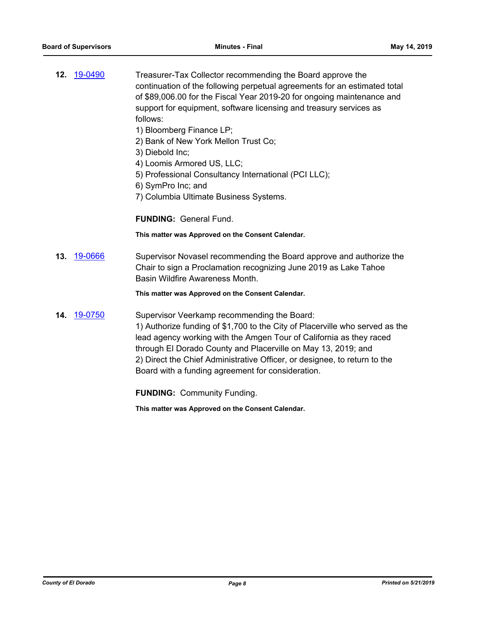- **12.** [19-0490](http://eldorado.legistar.com/gateway.aspx?m=l&id=/matter.aspx?key=25811) Treasurer-Tax Collector recommending the Board approve the continuation of the following perpetual agreements for an estimated total of \$89,006.00 for the Fiscal Year 2019-20 for ongoing maintenance and support for equipment, software licensing and treasury services as follows:
	- 1) Bloomberg Finance LP;
	- 2) Bank of New York Mellon Trust Co;
	- 3) Diebold Inc;
	- 4) Loomis Armored US, LLC;
	- 5) Professional Consultancy International (PCI LLC);
	- 6) SymPro Inc; and
	- 7) Columbia Ultimate Business Systems.

**FUNDING:** General Fund.

**This matter was Approved on the Consent Calendar.**

**13.** [19-0666](http://eldorado.legistar.com/gateway.aspx?m=l&id=/matter.aspx?key=25988) Supervisor Novasel recommending the Board approve and authorize the Chair to sign a Proclamation recognizing June 2019 as Lake Tahoe Basin Wildfire Awareness Month.

**This matter was Approved on the Consent Calendar.**

**14.** [19-0750](http://eldorado.legistar.com/gateway.aspx?m=l&id=/matter.aspx?key=26072) Supervisor Veerkamp recommending the Board: 1) Authorize funding of \$1,700 to the City of Placerville who served as the lead agency working with the Amgen Tour of California as they raced through El Dorado County and Placerville on May 13, 2019; and 2) Direct the Chief Administrative Officer, or designee, to return to the Board with a funding agreement for consideration.

**FUNDING:** Community Funding.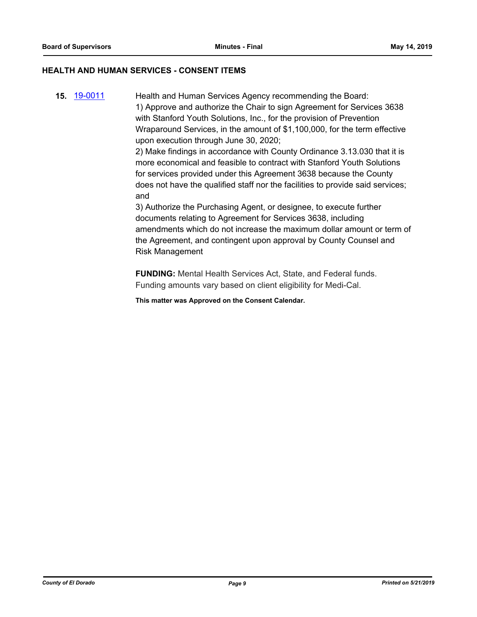## **HEALTH AND HUMAN SERVICES - CONSENT ITEMS**

**15.** [19-0011](http://eldorado.legistar.com/gateway.aspx?m=l&id=/matter.aspx?key=25332) Health and Human Services Agency recommending the Board: 1) Approve and authorize the Chair to sign Agreement for Services 3638 with Stanford Youth Solutions, Inc., for the provision of Prevention Wraparound Services, in the amount of \$1,100,000, for the term effective upon execution through June 30, 2020;

2) Make findings in accordance with County Ordinance 3.13.030 that it is more economical and feasible to contract with Stanford Youth Solutions for services provided under this Agreement 3638 because the County does not have the qualified staff nor the facilities to provide said services; and

3) Authorize the Purchasing Agent, or designee, to execute further documents relating to Agreement for Services 3638, including amendments which do not increase the maximum dollar amount or term of the Agreement, and contingent upon approval by County Counsel and Risk Management

**FUNDING:** Mental Health Services Act, State, and Federal funds. Funding amounts vary based on client eligibility for Medi-Cal.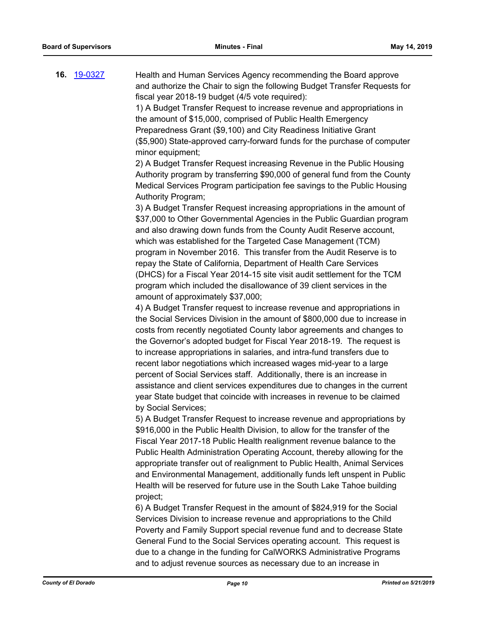**16.** [19-0327](http://eldorado.legistar.com/gateway.aspx?m=l&id=/matter.aspx?key=25648) Health and Human Services Agency recommending the Board approve and authorize the Chair to sign the following Budget Transfer Requests for fiscal year 2018-19 budget (4/5 vote required):

1) A Budget Transfer Request to increase revenue and appropriations in the amount of \$15,000, comprised of Public Health Emergency Preparedness Grant (\$9,100) and City Readiness Initiative Grant (\$5,900) State-approved carry-forward funds for the purchase of computer minor equipment;

2) A Budget Transfer Request increasing Revenue in the Public Housing Authority program by transferring \$90,000 of general fund from the County Medical Services Program participation fee savings to the Public Housing Authority Program;

3) A Budget Transfer Request increasing appropriations in the amount of \$37,000 to Other Governmental Agencies in the Public Guardian program and also drawing down funds from the County Audit Reserve account, which was established for the Targeted Case Management (TCM) program in November 2016. This transfer from the Audit Reserve is to repay the State of California, Department of Health Care Services (DHCS) for a Fiscal Year 2014-15 site visit audit settlement for the TCM program which included the disallowance of 39 client services in the amount of approximately \$37,000;

4) A Budget Transfer request to increase revenue and appropriations in the Social Services Division in the amount of \$800,000 due to increase in costs from recently negotiated County labor agreements and changes to the Governor's adopted budget for Fiscal Year 2018-19. The request is to increase appropriations in salaries, and intra-fund transfers due to recent labor negotiations which increased wages mid-year to a large percent of Social Services staff. Additionally, there is an increase in assistance and client services expenditures due to changes in the current year State budget that coincide with increases in revenue to be claimed by Social Services;

5) A Budget Transfer Request to increase revenue and appropriations by \$916,000 in the Public Health Division, to allow for the transfer of the Fiscal Year 2017-18 Public Health realignment revenue balance to the Public Health Administration Operating Account, thereby allowing for the appropriate transfer out of realignment to Public Health, Animal Services and Environmental Management, additionally funds left unspent in Public Health will be reserved for future use in the South Lake Tahoe building project;

6) A Budget Transfer Request in the amount of \$824,919 for the Social Services Division to increase revenue and appropriations to the Child Poverty and Family Support special revenue fund and to decrease State General Fund to the Social Services operating account. This request is due to a change in the funding for CalWORKS Administrative Programs and to adjust revenue sources as necessary due to an increase in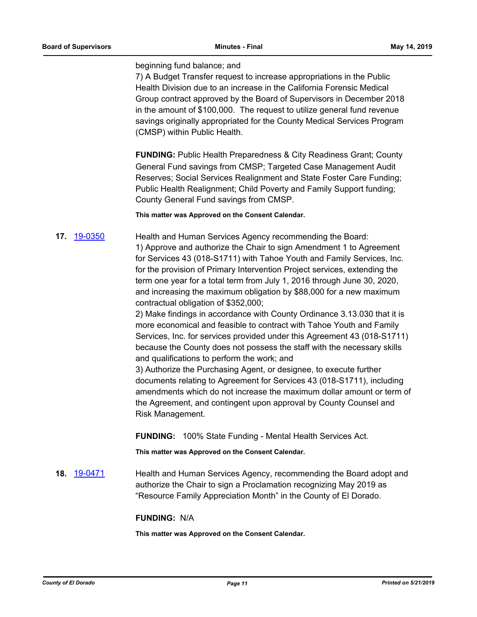#### beginning fund balance; and

7) A Budget Transfer request to increase appropriations in the Public Health Division due to an increase in the California Forensic Medical Group contract approved by the Board of Supervisors in December 2018 in the amount of \$100,000. The request to utilize general fund revenue savings originally appropriated for the County Medical Services Program (CMSP) within Public Health.

**FUNDING:** Public Health Preparedness & City Readiness Grant; County General Fund savings from CMSP; Targeted Case Management Audit Reserves; Social Services Realignment and State Foster Care Funding; Public Health Realignment; Child Poverty and Family Support funding; County General Fund savings from CMSP.

**This matter was Approved on the Consent Calendar.**

**17.** [19-0350](http://eldorado.legistar.com/gateway.aspx?m=l&id=/matter.aspx?key=25671) Health and Human Services Agency recommending the Board: 1) Approve and authorize the Chair to sign Amendment 1 to Agreement for Services 43 (018-S1711) with Tahoe Youth and Family Services, Inc. for the provision of Primary Intervention Project services, extending the term one year for a total term from July 1, 2016 through June 30, 2020, and increasing the maximum obligation by \$88,000 for a new maximum contractual obligation of \$352,000;

> 2) Make findings in accordance with County Ordinance 3.13.030 that it is more economical and feasible to contract with Tahoe Youth and Family Services, Inc. for services provided under this Agreement 43 (018-S1711) because the County does not possess the staff with the necessary skills and qualifications to perform the work; and

> 3) Authorize the Purchasing Agent, or designee, to execute further documents relating to Agreement for Services 43 (018-S1711), including amendments which do not increase the maximum dollar amount or term of the Agreement, and contingent upon approval by County Counsel and Risk Management.

**FUNDING:** 100% State Funding - Mental Health Services Act.

**This matter was Approved on the Consent Calendar.**

**18.** [19-0471](http://eldorado.legistar.com/gateway.aspx?m=l&id=/matter.aspx?key=25792) Health and Human Services Agency, recommending the Board adopt and authorize the Chair to sign a Proclamation recognizing May 2019 as "Resource Family Appreciation Month" in the County of El Dorado.

## **FUNDING:** N/A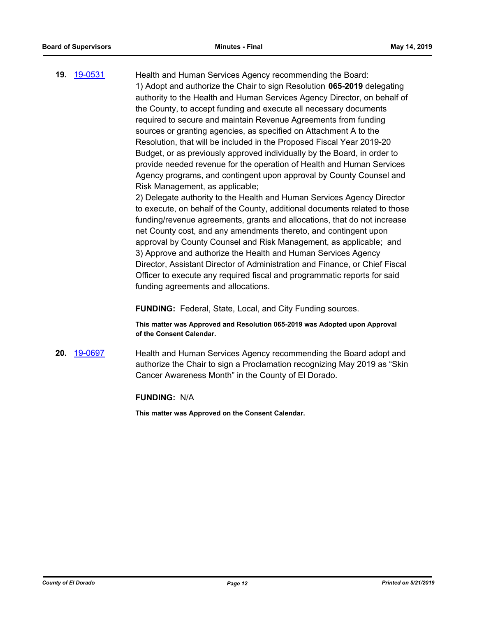**19.** [19-0531](http://eldorado.legistar.com/gateway.aspx?m=l&id=/matter.aspx?key=25852) Health and Human Services Agency recommending the Board: 1) Adopt and authorize the Chair to sign Resolution **065-2019** delegating authority to the Health and Human Services Agency Director, on behalf of the County, to accept funding and execute all necessary documents required to secure and maintain Revenue Agreements from funding sources or granting agencies, as specified on Attachment A to the Resolution, that will be included in the Proposed Fiscal Year 2019-20 Budget, or as previously approved individually by the Board, in order to provide needed revenue for the operation of Health and Human Services Agency programs, and contingent upon approval by County Counsel and Risk Management, as applicable;

> 2) Delegate authority to the Health and Human Services Agency Director to execute, on behalf of the County, additional documents related to those funding/revenue agreements, grants and allocations, that do not increase net County cost, and any amendments thereto, and contingent upon approval by County Counsel and Risk Management, as applicable; and 3) Approve and authorize the Health and Human Services Agency Director, Assistant Director of Administration and Finance, or Chief Fiscal Officer to execute any required fiscal and programmatic reports for said funding agreements and allocations.

**FUNDING:** Federal, State, Local, and City Funding sources.

**This matter was Approved and Resolution 065-2019 was Adopted upon Approval of the Consent Calendar.**

**20.** [19-0697](http://eldorado.legistar.com/gateway.aspx?m=l&id=/matter.aspx?key=26019) Health and Human Services Agency recommending the Board adopt and authorize the Chair to sign a Proclamation recognizing May 2019 as "Skin Cancer Awareness Month" in the County of El Dorado.

**FUNDING:** N/A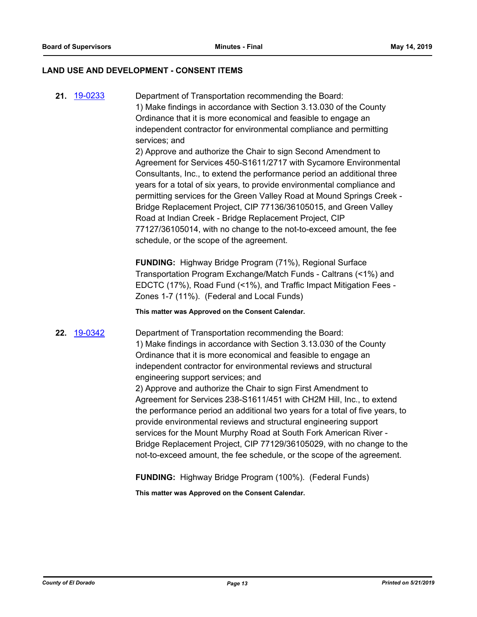#### **LAND USE AND DEVELOPMENT - CONSENT ITEMS**

**21.** [19-0233](http://eldorado.legistar.com/gateway.aspx?m=l&id=/matter.aspx?key=25554) Department of Transportation recommending the Board: 1) Make findings in accordance with Section 3.13.030 of the County Ordinance that it is more economical and feasible to engage an independent contractor for environmental compliance and permitting services; and 2) Approve and authorize the Chair to sign Second Amendment to Agreement for Services 450-S1611/2717 with Sycamore Environmental

Consultants, Inc., to extend the performance period an additional three years for a total of six years, to provide environmental compliance and permitting services for the Green Valley Road at Mound Springs Creek - Bridge Replacement Project, CIP 77136/36105015, and Green Valley Road at Indian Creek - Bridge Replacement Project, CIP 77127/36105014, with no change to the not-to-exceed amount, the fee schedule, or the scope of the agreement.

**FUNDING:** Highway Bridge Program (71%), Regional Surface Transportation Program Exchange/Match Funds - Caltrans (<1%) and EDCTC (17%), Road Fund (<1%), and Traffic Impact Mitigation Fees - Zones 1-7 (11%). (Federal and Local Funds)

**This matter was Approved on the Consent Calendar.**

**22.** [19-0342](http://eldorado.legistar.com/gateway.aspx?m=l&id=/matter.aspx?key=25663) Department of Transportation recommending the Board: 1) Make findings in accordance with Section 3.13.030 of the County Ordinance that it is more economical and feasible to engage an independent contractor for environmental reviews and structural engineering support services; and 2) Approve and authorize the Chair to sign First Amendment to Agreement for Services 238-S1611/451 with CH2M Hill, Inc., to extend the performance period an additional two years for a total of five years, to provide environmental reviews and structural engineering support services for the Mount Murphy Road at South Fork American River - Bridge Replacement Project, CIP 77129/36105029, with no change to the not-to-exceed amount, the fee schedule, or the scope of the agreement.

**FUNDING:** Highway Bridge Program (100%). (Federal Funds)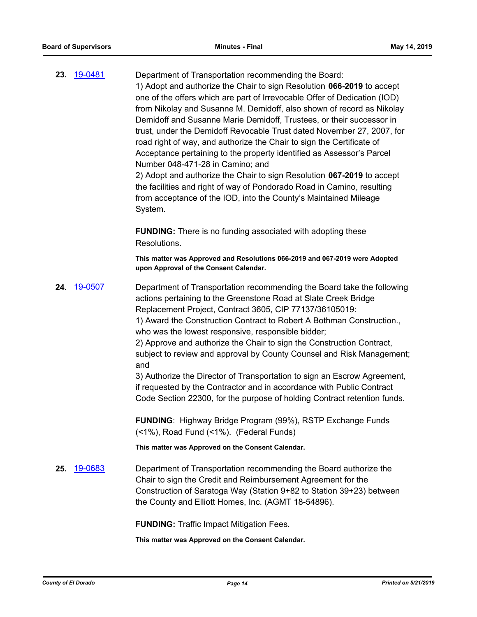**23.** [19-0481](http://eldorado.legistar.com/gateway.aspx?m=l&id=/matter.aspx?key=25802) Department of Transportation recommending the Board: 1) Adopt and authorize the Chair to sign Resolution **066-2019** to accept one of the offers which are part of Irrevocable Offer of Dedication (IOD) from Nikolay and Susanne M. Demidoff, also shown of record as Nikolay Demidoff and Susanne Marie Demidoff, Trustees, or their successor in trust, under the Demidoff Revocable Trust dated November 27, 2007, for road right of way, and authorize the Chair to sign the Certificate of Acceptance pertaining to the property identified as Assessor's Parcel Number 048-471-28 in Camino; and 2) Adopt and authorize the Chair to sign Resolution **067-2019** to accept the facilities and right of way of Pondorado Road in Camino, resulting from acceptance of the IOD, into the County's Maintained Mileage System. **FUNDING:** There is no funding associated with adopting these Resolutions. **This matter was Approved and Resolutions 066-2019 and 067-2019 were Adopted upon Approval of the Consent Calendar. 24.** [19-0507](http://eldorado.legistar.com/gateway.aspx?m=l&id=/matter.aspx?key=25828) Department of Transportation recommending the Board take the following actions pertaining to the Greenstone Road at Slate Creek Bridge Replacement Project, Contract 3605, CIP 77137/36105019: 1) Award the Construction Contract to Robert A Bothman Construction., who was the lowest responsive, responsible bidder; 2) Approve and authorize the Chair to sign the Construction Contract, subject to review and approval by County Counsel and Risk Management; and 3) Authorize the Director of Transportation to sign an Escrow Agreement, if requested by the Contractor and in accordance with Public Contract Code Section 22300, for the purpose of holding Contract retention funds. **FUNDING**: Highway Bridge Program (99%), RSTP Exchange Funds (<1%), Road Fund (<1%). (Federal Funds) **This matter was Approved on the Consent Calendar. 25.** [19-0683](http://eldorado.legistar.com/gateway.aspx?m=l&id=/matter.aspx?key=26005) Department of Transportation recommending the Board authorize the Chair to sign the Credit and Reimbursement Agreement for the Construction of Saratoga Way (Station 9+82 to Station 39+23) between the County and Elliott Homes, Inc. (AGMT 18-54896). **FUNDING:** Traffic Impact Mitigation Fees. **This matter was Approved on the Consent Calendar.**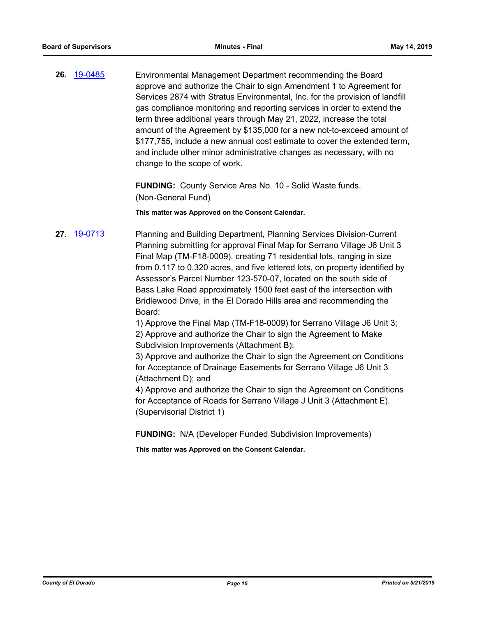**26.** [19-0485](http://eldorado.legistar.com/gateway.aspx?m=l&id=/matter.aspx?key=25806) Environmental Management Department recommending the Board approve and authorize the Chair to sign Amendment 1 to Agreement for Services 2874 with Stratus Environmental, Inc. for the provision of landfill gas compliance monitoring and reporting services in order to extend the term three additional years through May 21, 2022, increase the total amount of the Agreement by \$135,000 for a new not-to-exceed amount of \$177,755, include a new annual cost estimate to cover the extended term, and include other minor administrative changes as necessary, with no change to the scope of work.

> **FUNDING:** County Service Area No. 10 - Solid Waste funds. (Non-General Fund)

**This matter was Approved on the Consent Calendar.**

**27.** [19-0713](http://eldorado.legistar.com/gateway.aspx?m=l&id=/matter.aspx?key=26035) Planning and Building Department, Planning Services Division-Current Planning submitting for approval Final Map for Serrano Village J6 Unit 3 Final Map (TM-F18-0009), creating 71 residential lots, ranging in size from 0.117 to 0.320 acres, and five lettered lots, on property identified by Assessor's Parcel Number 123-570-07, located on the south side of Bass Lake Road approximately 1500 feet east of the intersection with Bridlewood Drive, in the El Dorado Hills area and recommending the Board:

1) Approve the Final Map (TM-F18-0009) for Serrano Village J6 Unit 3; 2) Approve and authorize the Chair to sign the Agreement to Make Subdivision Improvements (Attachment B);

3) Approve and authorize the Chair to sign the Agreement on Conditions for Acceptance of Drainage Easements for Serrano Village J6 Unit 3 (Attachment D); and

4) Approve and authorize the Chair to sign the Agreement on Conditions for Acceptance of Roads for Serrano Village J Unit 3 (Attachment E). (Supervisorial District 1)

**FUNDING:** N/A (Developer Funded Subdivision Improvements)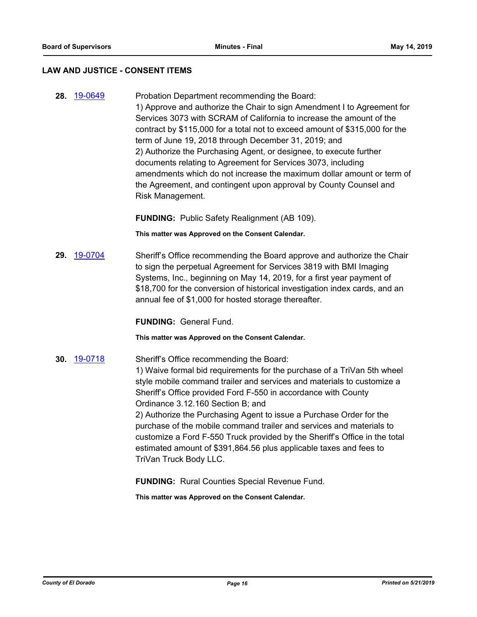#### **LAW AND JUSTICE - CONSENT ITEMS**

**28.** [19-0649](http://eldorado.legistar.com/gateway.aspx?m=l&id=/matter.aspx?key=25971) Probation Department recommending the Board: 1) Approve and authorize the Chair to sign Amendment I to Agreement for Services 3073 with SCRAM of California to increase the amount of the contract by \$115,000 for a total not to exceed amount of \$315,000 for the term of June 19, 2018 through December 31, 2019; and 2) Authorize the Purchasing Agent, or designee, to execute further documents relating to Agreement for Services 3073, including amendments which do not increase the maximum dollar amount or term of the Agreement, and contingent upon approval by County Counsel and Risk Management.

**FUNDING:** Public Safety Realignment (AB 109).

**This matter was Approved on the Consent Calendar.**

**29.** [19-0704](http://eldorado.legistar.com/gateway.aspx?m=l&id=/matter.aspx?key=26026) Sheriff's Office recommending the Board approve and authorize the Chair to sign the perpetual Agreement for Services 3819 with BMI Imaging Systems, Inc., beginning on May 14, 2019, for a first year payment of \$18,700 for the conversion of historical investigation index cards, and an annual fee of \$1,000 for hosted storage thereafter.

**FUNDING:** General Fund.

**This matter was Approved on the Consent Calendar.**

**30.** [19-0718](http://eldorado.legistar.com/gateway.aspx?m=l&id=/matter.aspx?key=26040) Sheriff's Office recommending the Board: 1) Waive formal bid requirements for the purchase of a TriVan 5th wheel style mobile command trailer and services and materials to customize a Sheriff's Office provided Ford F-550 in accordance with County Ordinance 3.12.160 Section B; and

> 2) Authorize the Purchasing Agent to issue a Purchase Order for the purchase of the mobile command trailer and services and materials to customize a Ford F-550 Truck provided by the Sheriff's Office in the total estimated amount of \$391,864.56 plus applicable taxes and fees to TriVan Truck Body LLC.

**FUNDING:** Rural Counties Special Revenue Fund.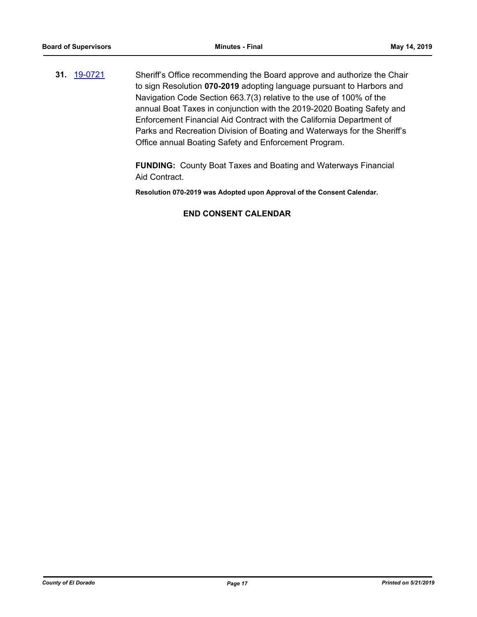**31.** [19-0721](http://eldorado.legistar.com/gateway.aspx?m=l&id=/matter.aspx?key=26043) Sheriff's Office recommending the Board approve and authorize the Chair to sign Resolution **070-2019** adopting language pursuant to Harbors and Navigation Code Section 663.7(3) relative to the use of 100% of the annual Boat Taxes in conjunction with the 2019-2020 Boating Safety and Enforcement Financial Aid Contract with the California Department of Parks and Recreation Division of Boating and Waterways for the Sheriff's Office annual Boating Safety and Enforcement Program.

> **FUNDING:** County Boat Taxes and Boating and Waterways Financial Aid Contract.

**Resolution 070-2019 was Adopted upon Approval of the Consent Calendar.**

## **END CONSENT CALENDAR**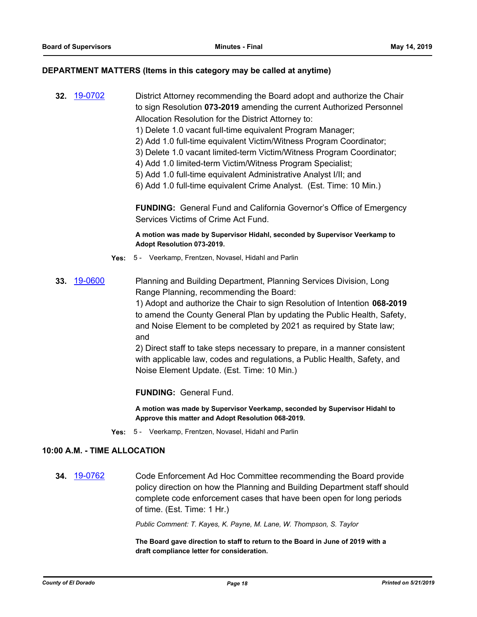#### **DEPARTMENT MATTERS (Items in this category may be called at anytime)**

**32.** [19-0702](http://eldorado.legistar.com/gateway.aspx?m=l&id=/matter.aspx?key=26024) District Attorney recommending the Board adopt and authorize the Chair to sign Resolution **073-2019** amending the current Authorized Personnel Allocation Resolution for the District Attorney to:

- 1) Delete 1.0 vacant full-time equivalent Program Manager;
- 2) Add 1.0 full-time equivalent Victim/Witness Program Coordinator;
- 3) Delete 1.0 vacant limited-term Victim/Witness Program Coordinator;
- 4) Add 1.0 limited-term Victim/Witness Program Specialist;
- 5) Add 1.0 full-time equivalent Administrative Analyst I/II; and
- 6) Add 1.0 full-time equivalent Crime Analyst. (Est. Time: 10 Min.)

**FUNDING:** General Fund and California Governor's Office of Emergency Services Victims of Crime Act Fund.

**A motion was made by Supervisor Hidahl, seconded by Supervisor Veerkamp to Adopt Resolution 073-2019.**

- **Yes:** 5 Veerkamp, Frentzen, Novasel, Hidahl and Parlin
- **33.** [19-0600](http://eldorado.legistar.com/gateway.aspx?m=l&id=/matter.aspx?key=25921) Planning and Building Department, Planning Services Division, Long Range Planning, recommending the Board:

1) Adopt and authorize the Chair to sign Resolution of Intention **068-2019** to amend the County General Plan by updating the Public Health, Safety, and Noise Element to be completed by 2021 as required by State law; and

2) Direct staff to take steps necessary to prepare, in a manner consistent with applicable law, codes and regulations, a Public Health, Safety, and Noise Element Update. (Est. Time: 10 Min.)

**FUNDING:** General Fund.

**A motion was made by Supervisor Veerkamp, seconded by Supervisor Hidahl to Approve this matter and Adopt Resolution 068-2019.**

**Yes:** 5 - Veerkamp, Frentzen, Novasel, Hidahl and Parlin

## **10:00 A.M. - TIME ALLOCATION**

**34.** [19-0762](http://eldorado.legistar.com/gateway.aspx?m=l&id=/matter.aspx?key=26084) Code Enforcement Ad Hoc Committee recommending the Board provide policy direction on how the Planning and Building Department staff should complete code enforcement cases that have been open for long periods of time. (Est. Time: 1 Hr.)

*Public Comment: T. Kayes, K. Payne, M. Lane, W. Thompson, S. Taylor*

**The Board gave direction to staff to return to the Board in June of 2019 with a draft compliance letter for consideration.**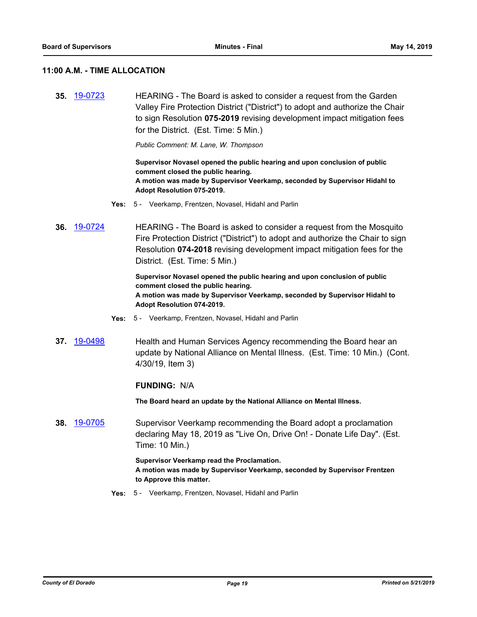#### **11:00 A.M. - TIME ALLOCATION**

**35.** [19-0723](http://eldorado.legistar.com/gateway.aspx?m=l&id=/matter.aspx?key=26045) HEARING - The Board is asked to consider a request from the Garden Valley Fire Protection District ("District") to adopt and authorize the Chair to sign Resolution **075-2019** revising development impact mitigation fees for the District. (Est. Time: 5 Min.)

*Public Comment: M. Lane, W. Thompson*

**Supervisor Novasel opened the public hearing and upon conclusion of public comment closed the public hearing. A motion was made by Supervisor Veerkamp, seconded by Supervisor Hidahl to Adopt Resolution 075-2019.**

- **Yes:** 5 Veerkamp, Frentzen, Novasel, Hidahl and Parlin
- **36.** [19-0724](http://eldorado.legistar.com/gateway.aspx?m=l&id=/matter.aspx?key=26046) HEARING The Board is asked to consider a request from the Mosquito Fire Protection District ("District") to adopt and authorize the Chair to sign Resolution **074-2018** revising development impact mitigation fees for the District. (Est. Time: 5 Min.)

**Supervisor Novasel opened the public hearing and upon conclusion of public comment closed the public hearing. A motion was made by Supervisor Veerkamp, seconded by Supervisor Hidahl to Adopt Resolution 074-2019.**

- **Yes:** 5 Veerkamp, Frentzen, Novasel, Hidahl and Parlin
- **37.** [19-0498](http://eldorado.legistar.com/gateway.aspx?m=l&id=/matter.aspx?key=25819) Health and Human Services Agency recommending the Board hear an update by National Alliance on Mental Illness. (Est. Time: 10 Min.) (Cont. 4/30/19, Item 3)

#### **FUNDING:** N/A

**The Board heard an update by the National Alliance on Mental Illness.**

**38.** [19-0705](http://eldorado.legistar.com/gateway.aspx?m=l&id=/matter.aspx?key=26027) Supervisor Veerkamp recommending the Board adopt a proclamation declaring May 18, 2019 as "Live On, Drive On! - Donate Life Day". (Est. Time: 10 Min.)

> **Supervisor Veerkamp read the Proclamation. A motion was made by Supervisor Veerkamp, seconded by Supervisor Frentzen to Approve this matter.**

**Yes:** 5 - Veerkamp, Frentzen, Novasel, Hidahl and Parlin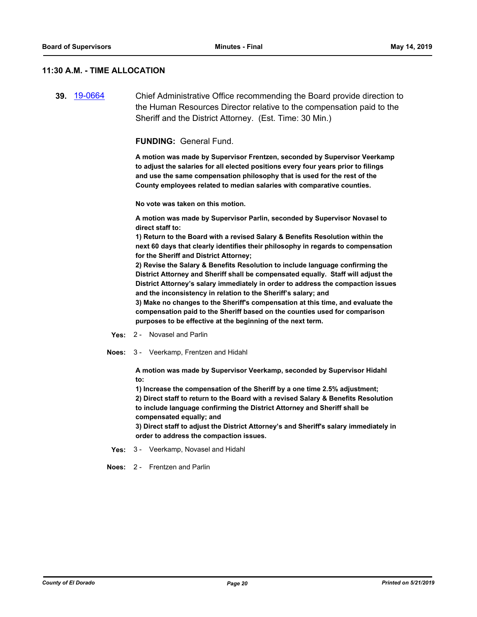#### **11:30 A.M. - TIME ALLOCATION**

**39.** [19-0664](http://eldorado.legistar.com/gateway.aspx?m=l&id=/matter.aspx?key=25986) Chief Administrative Office recommending the Board provide direction to the Human Resources Director relative to the compensation paid to the Sheriff and the District Attorney. (Est. Time: 30 Min.)

**FUNDING:** General Fund.

**A motion was made by Supervisor Frentzen, seconded by Supervisor Veerkamp to adjust the salaries for all elected positions every four years prior to filings and use the same compensation philosophy that is used for the rest of the County employees related to median salaries with comparative counties.**

**No vote was taken on this motion.**

**A motion was made by Supervisor Parlin, seconded by Supervisor Novasel to direct staff to:**

**1) Return to the Board with a revised Salary & Benefits Resolution within the next 60 days that clearly identifies their philosophy in regards to compensation for the Sheriff and District Attorney;**

**2) Revise the Salary & Benefits Resolution to include language confirming the District Attorney and Sheriff shall be compensated equally. Staff will adjust the District Attorney's salary immediately in order to address the compaction issues and the inconsistency in relation to the Sheriff's salary; and**

**3) Make no changes to the Sheriff's compensation at this time, and evaluate the compensation paid to the Sheriff based on the counties used for comparison purposes to be effective at the beginning of the next term.**

- **Yes:** 2 Novasel and Parlin
- **Noes:** 3 Veerkamp, Frentzen and Hidahl

**A motion was made by Supervisor Veerkamp, seconded by Supervisor Hidahl to:**

**1) Increase the compensation of the Sheriff by a one time 2.5% adjustment; 2) Direct staff to return to the Board with a revised Salary & Benefits Resolution to include language confirming the District Attorney and Sheriff shall be compensated equally; and**

**3) Direct staff to adjust the District Attorney's and Sheriff's salary immediately in order to address the compaction issues.**

- **Yes:** 3 Veerkamp, Novasel and Hidahl
- **Noes:** 2 Frentzen and Parlin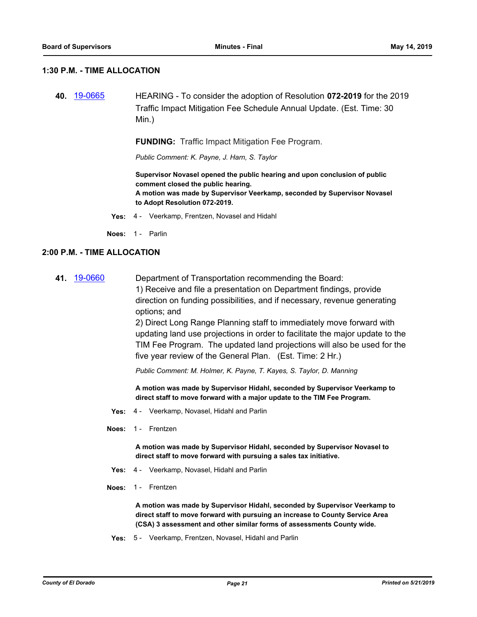#### **1:30 P.M. - TIME ALLOCATION**

**40.** [19-0665](http://eldorado.legistar.com/gateway.aspx?m=l&id=/matter.aspx?key=25987) HEARING - To consider the adoption of Resolution **072-2019** for the 2019 Traffic Impact Mitigation Fee Schedule Annual Update*.* (Est. Time: 30 Min.)

**FUNDING:** Traffic Impact Mitigation Fee Program.

*Public Comment: K. Payne, J. Harn, S. Taylor*

**Supervisor Novasel opened the public hearing and upon conclusion of public comment closed the public hearing. A motion was made by Supervisor Veerkamp, seconded by Supervisor Novasel to Adopt Resolution 072-2019.**

**Yes:** 4 - Veerkamp, Frentzen, Novasel and Hidahl

**Noes:** 1 - Parlin

#### **2:00 P.M. - TIME ALLOCATION**

**41.** [19-0660](http://eldorado.legistar.com/gateway.aspx?m=l&id=/matter.aspx?key=25982) Department of Transportation recommending the Board: 1) Receive and file a presentation on Department findings, provide

direction on funding possibilities, and if necessary, revenue generating options; and

2) Direct Long Range Planning staff to immediately move forward with updating land use projections in order to facilitate the major update to the TIM Fee Program. The updated land projections will also be used for the five year review of the General Plan. (Est. Time: 2 Hr.)

*Public Comment: M. Holmer, K. Payne, T. Kayes, S. Taylor, D. Manning*

**A motion was made by Supervisor Hidahl, seconded by Supervisor Veerkamp to direct staff to move forward with a major update to the TIM Fee Program.**

- **Yes:** 4 Veerkamp, Novasel, Hidahl and Parlin
- **Noes:** 1 Frentzen

**A motion was made by Supervisor Hidahl, seconded by Supervisor Novasel to direct staff to move forward with pursuing a sales tax initiative.**

- **Yes:** 4 Veerkamp, Novasel, Hidahl and Parlin
- **Noes:** 1 Frentzen

**A motion was made by Supervisor Hidahl, seconded by Supervisor Veerkamp to direct staff to move forward with pursuing an increase to County Service Area (CSA) 3 assessment and other similar forms of assessments County wide.**

**Yes:** 5 - Veerkamp, Frentzen, Novasel, Hidahl and Parlin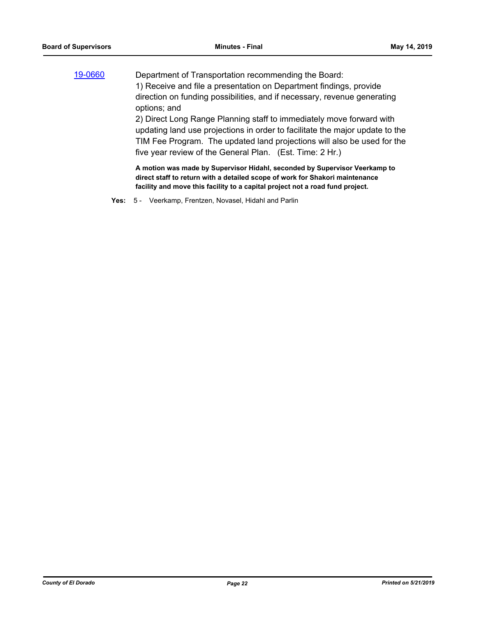| 19-0660 | Department of Transportation recommending the Board:                                                                                                       |
|---------|------------------------------------------------------------------------------------------------------------------------------------------------------------|
|         | 1) Receive and file a presentation on Department findings, provide                                                                                         |
|         | direction on funding possibilities, and if necessary, revenue generating                                                                                   |
|         | options; and                                                                                                                                               |
|         | 2) Direct Long Range Planning staff to immediately move forward with                                                                                       |
|         | updating land use projections in order to facilitate the major update to the                                                                               |
|         | TIM Fee Program. The updated land projections will also be used for the                                                                                    |
|         | five year review of the General Plan. (Est. Time: 2 Hr.)                                                                                                   |
|         | A motion was made by Supervisor Hidahl, seconded by Supervisor Veerkamp to<br>direct staff to return with a detailed scope of work for Shakori maintenance |

**facility and move this facility to a capital project not a road fund project.**

**Yes:** 5 - Veerkamp, Frentzen, Novasel, Hidahl and Parlin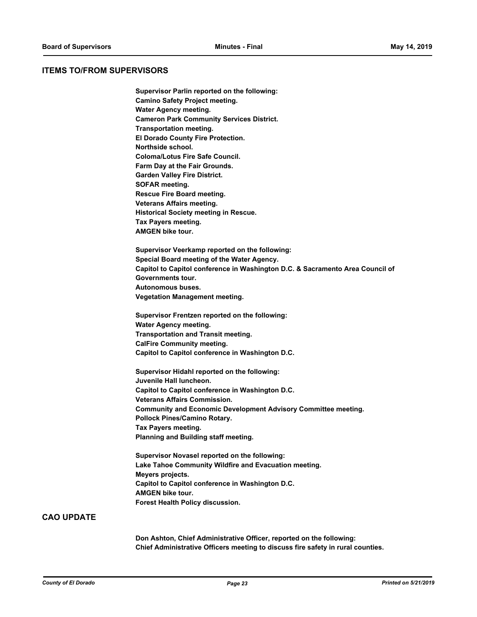#### **ITEMS TO/FROM SUPERVISORS**

**Supervisor Parlin reported on the following: Camino Safety Project meeting. Water Agency meeting. Cameron Park Community Services District. Transportation meeting. El Dorado County Fire Protection. Northside school. Coloma/Lotus Fire Safe Council. Farm Day at the Fair Grounds. Garden Valley Fire District. SOFAR meeting. Rescue Fire Board meeting. Veterans Affairs meeting. Historical Society meeting in Rescue. Tax Payers meeting. AMGEN bike tour. Supervisor Veerkamp reported on the following: Special Board meeting of the Water Agency. Capitol to Capitol conference in Washington D.C. & Sacramento Area Council of Governments tour. Autonomous buses. Vegetation Management meeting. Supervisor Frentzen reported on the following: Water Agency meeting. Transportation and Transit meeting. CalFire Community meeting. Capitol to Capitol conference in Washington D.C. Supervisor Hidahl reported on the following: Juvenile Hall luncheon. Capitol to Capitol conference in Washington D.C. Veterans Affairs Commission. Community and Economic Development Advisory Committee meeting. Pollock Pines/Camino Rotary. Tax Payers meeting. Planning and Building staff meeting. Supervisor Novasel reported on the following: Lake Tahoe Community Wildfire and Evacuation meeting. Meyers projects. Capitol to Capitol conference in Washington D.C. AMGEN bike tour. Forest Health Policy discussion.**

#### **CAO UPDATE**

**Don Ashton, Chief Administrative Officer, reported on the following: Chief Administrative Officers meeting to discuss fire safety in rural counties.**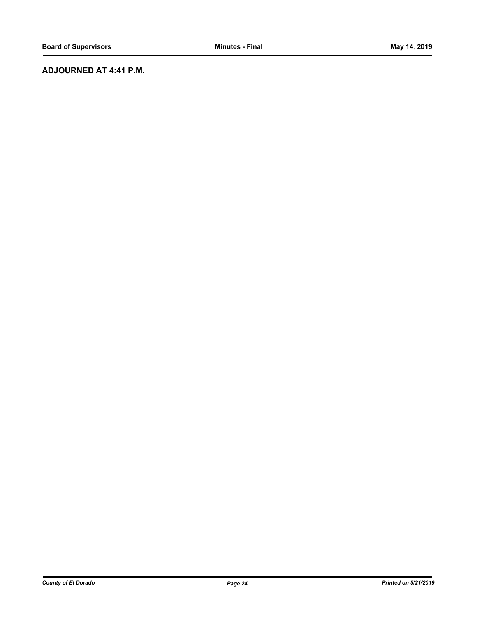## **ADJOURNED AT 4:41 P.M.**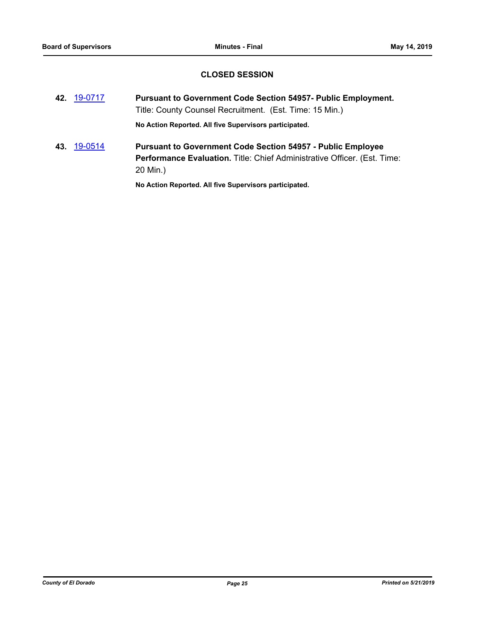## **CLOSED SESSION**

- **42.** [19-0717](http://eldorado.legistar.com/gateway.aspx?m=l&id=/matter.aspx?key=26039) **Pursuant to Government Code Section 54957- Public Employment.** Title: County Counsel Recruitment. (Est. Time: 15 Min.) **No Action Reported. All five Supervisors participated.**
- **43.** [19-0514](http://eldorado.legistar.com/gateway.aspx?m=l&id=/matter.aspx?key=25835) **Pursuant to Government Code Section 54957 Public Employee Performance Evaluation.** Title: Chief Administrative Officer. (Est. Time: 20 Min.)

**No Action Reported. All five Supervisors participated.**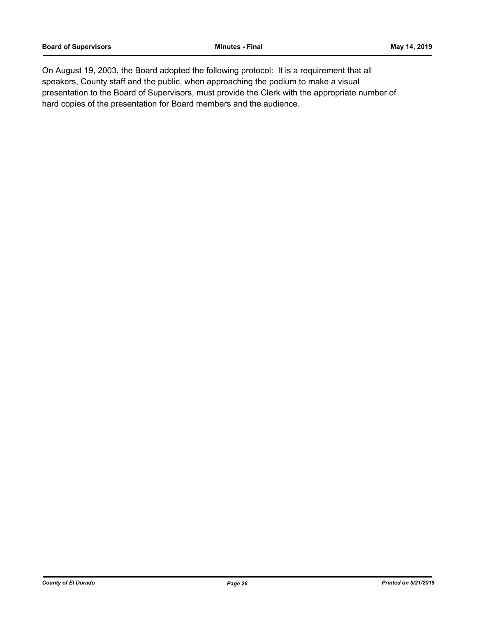On August 19, 2003, the Board adopted the following protocol: It is a requirement that all speakers, County staff and the public, when approaching the podium to make a visual presentation to the Board of Supervisors, must provide the Clerk with the appropriate number of hard copies of the presentation for Board members and the audience.